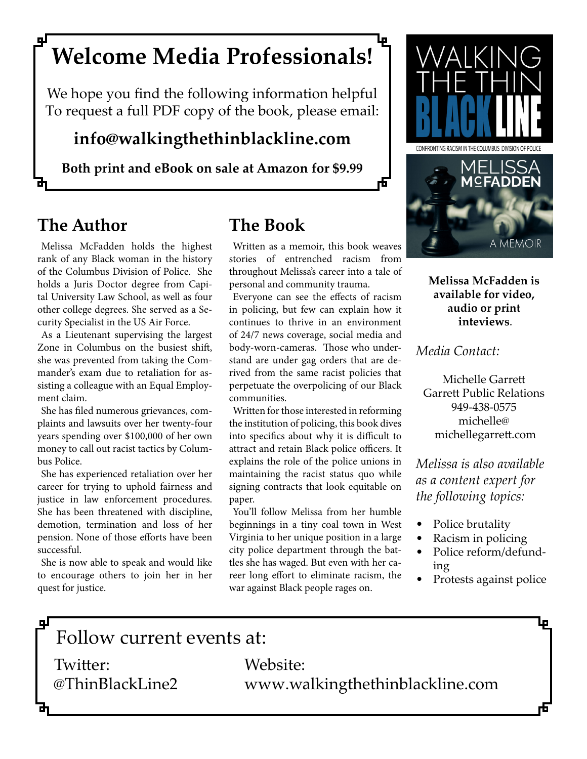# **Welcome Media Professionals!**

We hope you find the following information helpful<br>To request a full PDF copy of the book, please email:

## **info@walkingthethinblackline.com**

**Both print and eBook on sale at Amazon for \$9.99**

# **The Author**

Melissa McFadden holds the highest rank of any Black woman in the history of the Columbus Division of Police. She holds a Juris Doctor degree from Capital University Law School, as well as four other college degrees. She served as a Security Specialist in the US Air Force.

As a Lieutenant supervising the largest Zone in Columbus on the busiest shift, she was prevented from taking the Commander's exam due to retaliation for assisting a colleague with an Equal Employment claim.

She has filed numerous grievances, complaints and lawsuits over her twenty-four years spending over \$100,000 of her own money to call out racist tactics by Columbus Police.

She has experienced retaliation over her career for trying to uphold fairness and justice in law enforcement procedures. She has been threatened with discipline, demotion, termination and loss of her pension. None of those efforts have been successful.

She is now able to speak and would like to encourage others to join her in her quest for justice.

# **The Book**

Written as a memoir, this book weaves stories of entrenched racism from throughout Melissa's career into a tale of personal and community trauma.

虛

Everyone can see the effects of racism in policing, but few can explain how it continues to thrive in an environment of 24/7 news coverage, social media and body-worn-cameras. Those who understand are under gag orders that are derived from the same racist policies that perpetuate the overpolicing of our Black communities.

Written for those interested in reforming the institution of policing, this book dives into specifics about why it is difficult to attract and retain Black police officers. It explains the role of the police unions in maintaining the racist status quo while signing contracts that look equitable on paper.

You'll follow Melissa from her humble beginnings in a tiny coal town in West Virginia to her unique position in a large city police department through the battles she has waged. But even with her career long effort to eliminate racism, the war against Black people rages on.



**Melissa McFadden is available for video, audio or print inteviews**.

*Media Contact:*

Michelle Garrett Garrett Public Relations 949-438-0575 michelle@ michellegarrett.com

*Melissa is also available as a content expert for the following topics:*

- Police brutality
- Racism in policing
- Police reform/defunding
- Protests against police

д

Follow current events at:

Twitter: Website:

@ThinBlackLine2 www.walkingthethinblackline.com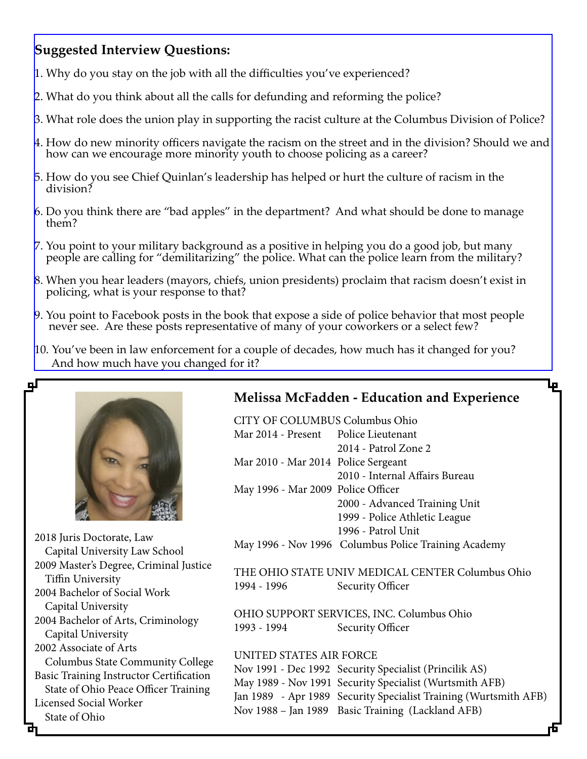## **Suggested Interview Questions:**

- $\mu$ . Why do you stay on the job with all the difficulties you've experienced?
- 2. What do you think about all the calls for defunding and reforming the police?
- 3. What role does the union play in supporting the racist culture at the Columbus Division of Police?
- 4. How do new minority officers navigate the racism on the street and in the division? Should we and how can we encourage more minority youth to choose policing as a career?
- 5. How do you see Chief Quinlan's leadership has helped or hurt the culture of racism in the division?
- 6. Do you think there are "bad apples" in the department? And what should be done to manage them?
- 7. You point to your military background as a positive in helping you do a good job, but many people are calling for "demilitarizing" the police. What can the police learn from the military?
- 8. When you hear leaders (mayors, chiefs, union presidents) proclaim that racism doesn't exist in policing, what is your response to that?
- 9. You point to Facebook posts in the book that expose a side of police behavior that most people never see. Are these posts representative of many of your coworkers or a select few?
- 10. You've been in law enforcement for a couple of decades, how much has it changed for you? And how much have you changed for it?



2018 Juris Doctorate, Law Capital University Law School 2009 Master's Degree, Criminal Justice Tiffin University 2004 Bachelor of Social Work Capital University 2004 Bachelor of Arts, Criminology Capital University 2002 Associate of Arts Columbus State Community College Basic Training Instructor Certification State of Ohio Peace Officer Training Licensed Social Worker State of Ohio

## **Melissa McFadden - Education and Experience**

Lр

CITY OF COLUMBUS Columbus Ohio Mar 2014 - Present Police Lieutenant 2014 - Patrol Zone 2 Mar 2010 - Mar 2014 Police Sergeant 2010 - Internal Affairs Bureau May 1996 - Mar 2009 Police Officer 2000 - Advanced Training Unit 1999 - Police Athletic League 1996 - Patrol Unit May 1996 - Nov 1996 Columbus Police Training Academy THE OHIO STATE UNIV MEDICAL CENTER Columbus Ohio 1994 - 1996 Security Officer OHIO SUPPORT SERVICES, INC. Columbus Ohio 1993 - 1994 Security Officer

#### UNITED STATES AIR FORCE

Nov 1991 - Dec 1992 Security Specialist (Princilik AS) May 1989 - Nov 1991 Security Specialist (Wurtsmith AFB) Jan 1989 - Apr 1989 Security Specialist Training (Wurtsmith AFB) Nov 1988 – Jan 1989 Basic Training (Lackland AFB)

цI